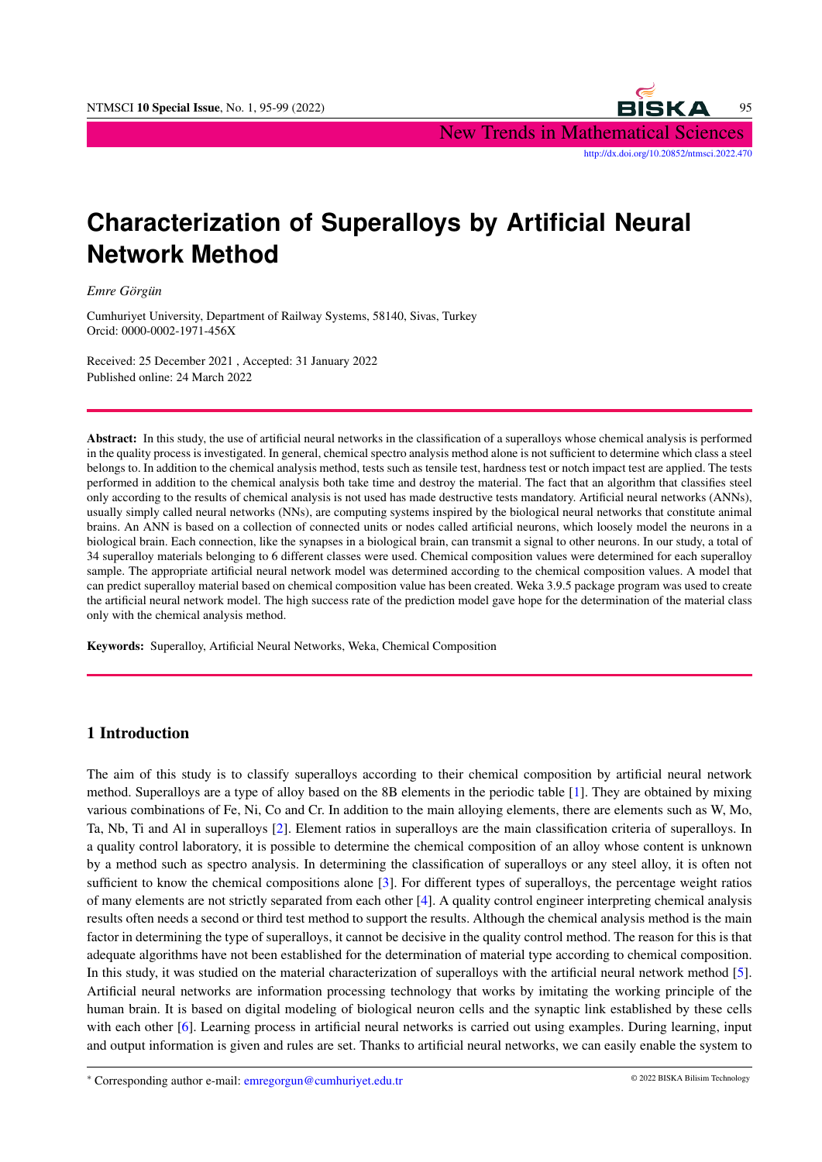

# **Characterization of Superalloys by Artificial Neural Network Method**

*Emre Görgün*

Cumhuriyet University, Department of Railway Systems, 58140, Sivas, Turkey Orcid: 0000-0002-1971-456X

Received: 25 December 2021 , Accepted: 31 January 2022 Published online: 24 March 2022

Abstract: In this study, the use of artificial neural networks in the classification of a superalloys whose chemical analysis is performed in the quality process is investigated. In general, chemical spectro analysis method alone is not sufficient to determine which class a steel belongs to. In addition to the chemical analysis method, tests such as tensile test, hardness test or notch impact test are applied. The tests performed in addition to the chemical analysis both take time and destroy the material. The fact that an algorithm that classifies steel only according to the results of chemical analysis is not used has made destructive tests mandatory. Artificial neural networks (ANNs), usually simply called neural networks (NNs), are computing systems inspired by the biological neural networks that constitute animal brains. An ANN is based on a collection of connected units or nodes called artificial neurons, which loosely model the neurons in a biological brain. Each connection, like the synapses in a biological brain, can transmit a signal to other neurons. In our study, a total of 34 superalloy materials belonging to 6 different classes were used. Chemical composition values were determined for each superalloy sample. The appropriate artificial neural network model was determined according to the chemical composition values. A model that can predict superalloy material based on chemical composition value has been created. Weka 3.9.5 package program was used to create the artificial neural network model. The high success rate of the prediction model gave hope for the determination of the material class only with the chemical analysis method.

Keywords: Superalloy, Artificial Neural Networks, Weka, Chemical Composition

# 1 Introduction

The aim of this study is to classify superalloys according to their chemical composition by artificial neural network method. Superalloys are a type of alloy based on the 8B elements in the periodic table [\[1\]](#page-4-0). They are obtained by mixing various combinations of Fe, Ni, Co and Cr. In addition to the main alloying elements, there are elements such as W, Mo, Ta, Nb, Ti and Al in superalloys [\[2\]](#page-4-1). Element ratios in superalloys are the main classification criteria of superalloys. In a quality control laboratory, it is possible to determine the chemical composition of an alloy whose content is unknown by a method such as spectro analysis. In determining the classification of superalloys or any steel alloy, it is often not sufficient to know the chemical compositions alone [\[3\]](#page-4-2). For different types of superalloys, the percentage weight ratios of many elements are not strictly separated from each other [\[4\]](#page-4-3). A quality control engineer interpreting chemical analysis results often needs a second or third test method to support the results. Although the chemical analysis method is the main factor in determining the type of superalloys, it cannot be decisive in the quality control method. The reason for this is that adequate algorithms have not been established for the determination of material type according to chemical composition. In this study, it was studied on the material characterization of superalloys with the artificial neural network method [\[5\]](#page-4-4). Artificial neural networks are information processing technology that works by imitating the working principle of the human brain. It is based on digital modeling of biological neuron cells and the synaptic link established by these cells with each other [\[6\]](#page-4-5). Learning process in artificial neural networks is carried out using examples. During learning, input and output information is given and rules are set. Thanks to artificial neural networks, we can easily enable the system to

<sup>∗</sup> Corresponding author e-mail: emregorgun@cumhuriyet.edu.tr © 2022 BISKA Bilisim Technology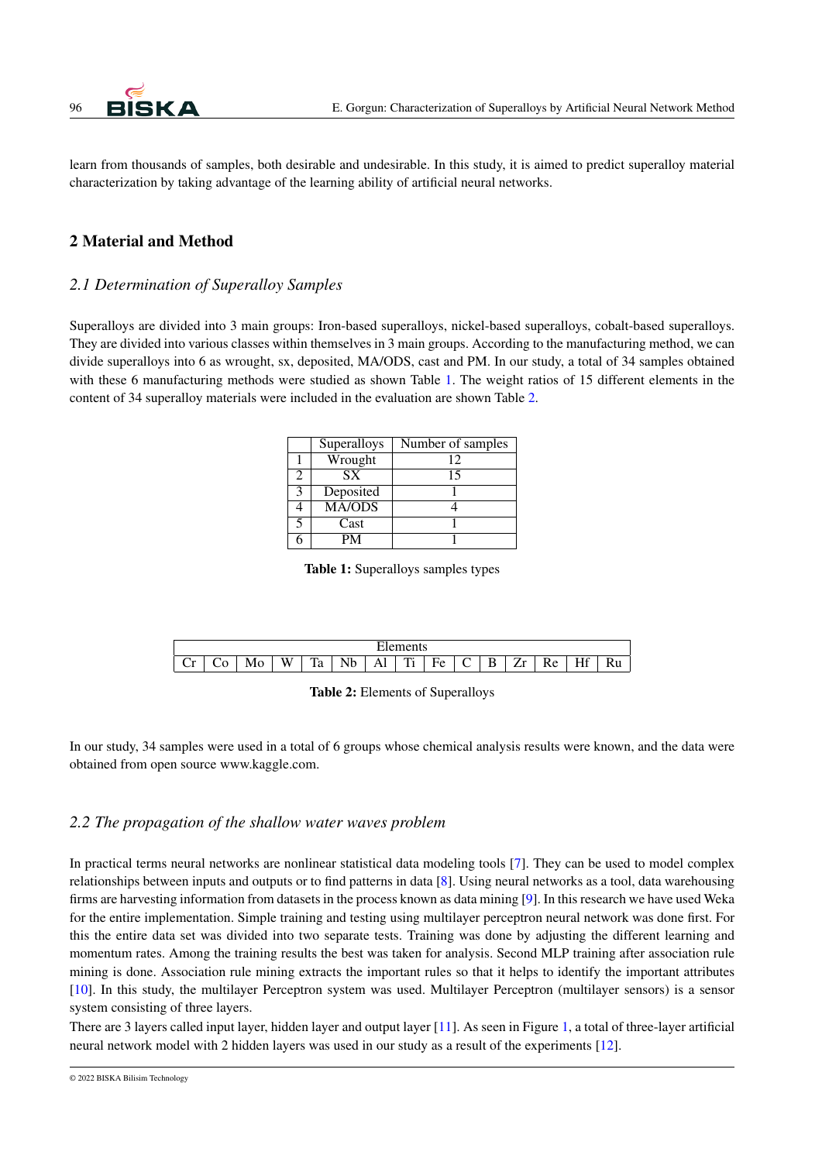

learn from thousands of samples, both desirable and undesirable. In this study, it is aimed to predict superalloy material characterization by taking advantage of the learning ability of artificial neural networks.

# 2 Material and Method

## *2.1 Determination of Superalloy Samples*

<span id="page-1-0"></span>Superalloys are divided into 3 main groups: Iron-based superalloys, nickel-based superalloys, cobalt-based superalloys. They are divided into various classes within themselves in 3 main groups. According to the manufacturing method, we can divide superalloys into 6 as wrought, sx, deposited, MA/ODS, cast and PM. In our study, a total of 34 samples obtained with these 6 manufacturing methods were studied as shown Table [1.](#page-1-0) The weight ratios of 15 different elements in the content of 34 superalloy materials were included in the evaluation are shown Table [2.](#page-1-1)

|   | Superalloys   | Number of samples |
|---|---------------|-------------------|
|   | Wrought       | 12                |
| 2 | SX.           | 15                |
|   | Deposited     |                   |
|   | <b>MA/ODS</b> |                   |
| 5 | Cast          |                   |
|   | PM            |                   |

Table 1: Superalloys samples types

<span id="page-1-1"></span>

|                          | -- |      |                 |         |                    |                |               |              |             |             |         |     |         |          |
|--------------------------|----|------|-----------------|---------|--------------------|----------------|---------------|--------------|-------------|-------------|---------|-----|---------|----------|
| $\overline{\phantom{a}}$ | ֊  | **** | <b>TYY</b><br>w | —<br>ra | <b>T1</b><br><br>ຼ | $\overline{1}$ | m<br>-<br>. . | -<br>HΔ<br>∼ | $\sim$<br>◡ | $\sim$<br>≖ | –<br>-- | *** | - -<br> | - -<br>. |

In our study, 34 samples were used in a total of 6 groups whose chemical analysis results were known, and the data were obtained from open source www.kaggle.com.

### *2.2 The propagation of the shallow water waves problem*

In practical terms neural networks are nonlinear statistical data modeling tools [\[7\]](#page-4-6). They can be used to model complex relationships between inputs and outputs or to find patterns in data [\[8\]](#page-4-7). Using neural networks as a tool, data warehousing firms are harvesting information from datasets in the process known as data mining [\[9\]](#page-4-8). In this research we have used Weka for the entire implementation. Simple training and testing using multilayer perceptron neural network was done first. For this the entire data set was divided into two separate tests. Training was done by adjusting the different learning and momentum rates. Among the training results the best was taken for analysis. Second MLP training after association rule mining is done. Association rule mining extracts the important rules so that it helps to identify the important attributes [\[10\]](#page-4-9). In this study, the multilayer Perceptron system was used. Multilayer Perceptron (multilayer sensors) is a sensor system consisting of three layers.

There are 3 layers called input layer, hidden layer and output layer [\[11\]](#page-4-10). As seen in Figure [1,](#page-2-0) a total of three-layer artificial neural network model with 2 hidden layers was used in our study as a result of the experiments [\[12\]](#page-4-11).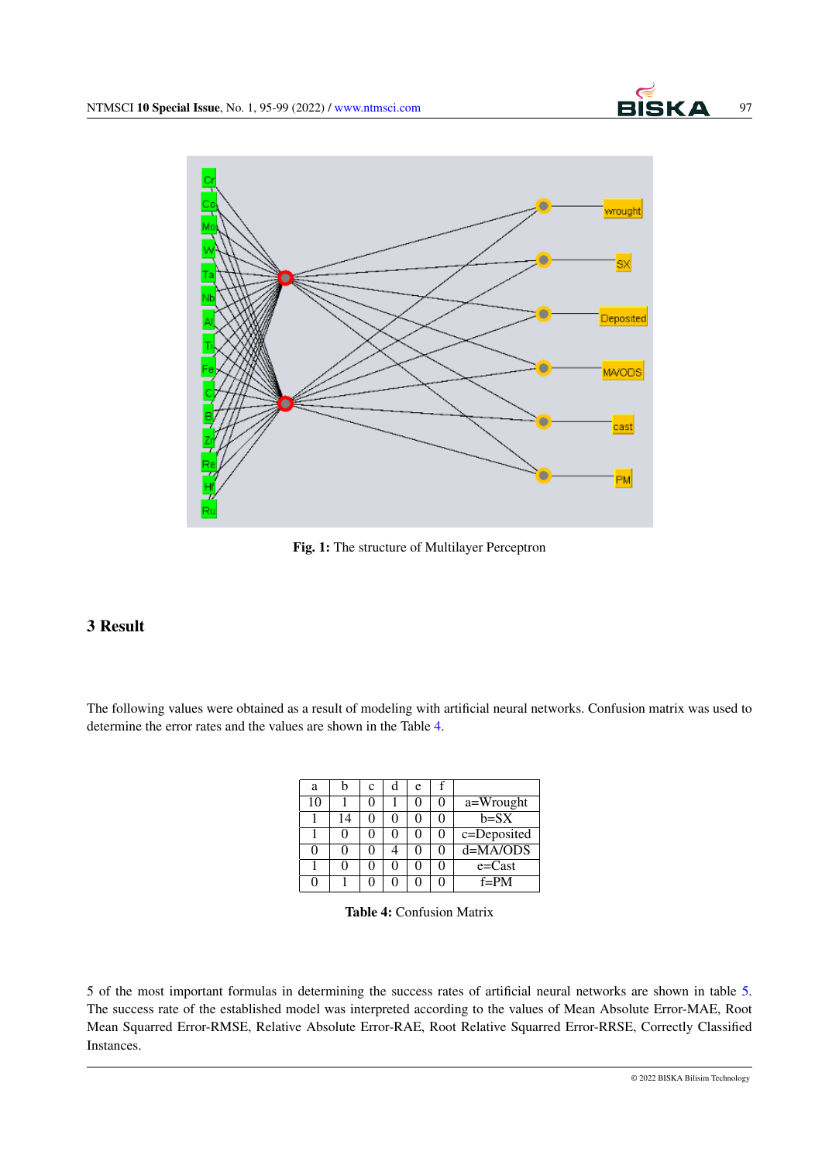<span id="page-2-0"></span>

Fig. 1: The structure of Multilayer Perceptron

# 3 Result

<span id="page-2-1"></span>The following values were obtained as a result of modeling with artificial neural networks. Confusion matrix was used to determine the error rates and the values are shown in the Table [4.](#page-2-1)

| а  | h  | C | d | e |             |
|----|----|---|---|---|-------------|
| 10 |    |   |   |   | a=Wrought   |
|    | 14 |   | 0 |   | $b = SX$    |
|    |    |   |   |   | c=Deposited |
| 0  | 0  |   |   |   | $d=MA/ODS$  |
|    | 0  |   | 0 |   | $e = Cast$  |
|    |    |   | 0 |   | $f = PM$    |

Table 4: Confusion Matrix

5 of the most important formulas in determining the success rates of artificial neural networks are shown in table [5.](#page-3-0) The success rate of the established model was interpreted according to the values of Mean Absolute Error-MAE, Root Mean Squarred Error-RMSE, Relative Absolute Error-RAE, Root Relative Squarred Error-RRSE, Correctly Classified Instances.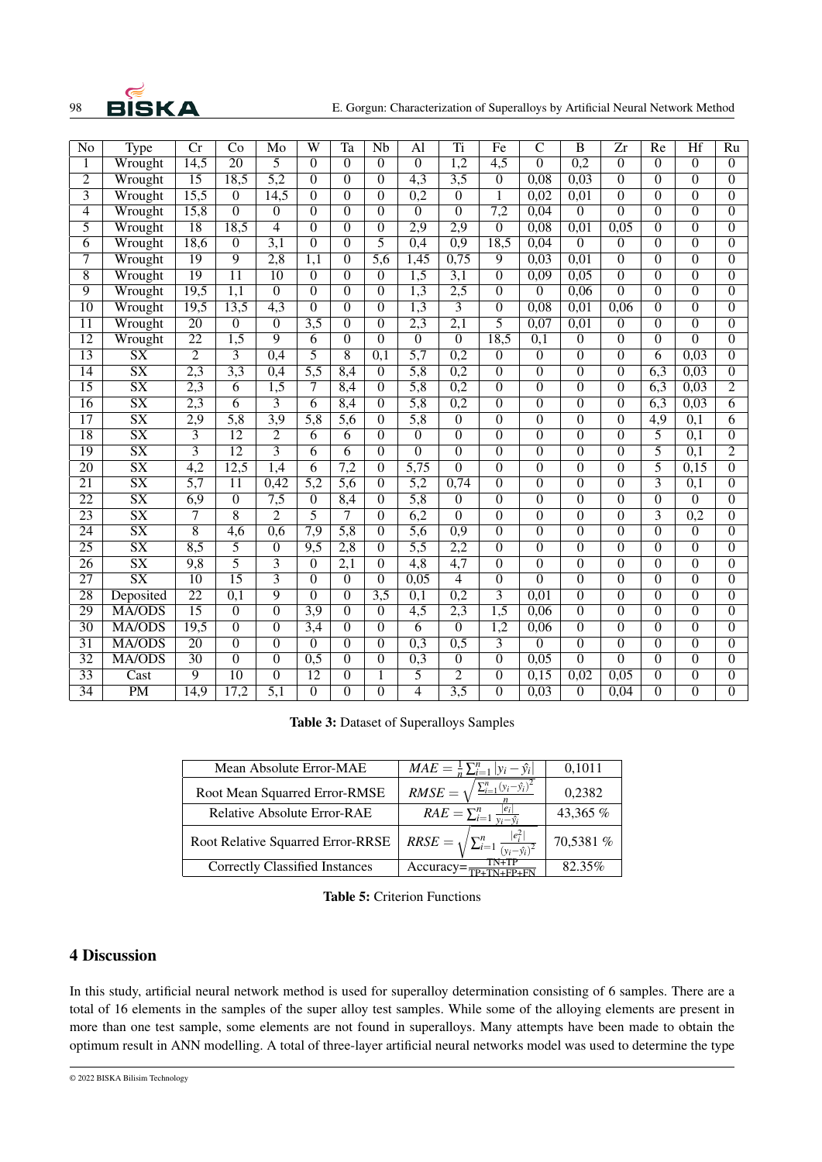

| $\overline{No}$ | Type                   | $\overline{\text{Cr}}$ | Co               | Mo                | $\overline{\text{W}}$ | $\overline{\text{Ta}}$ | $\overline{\text{Nb}}$ | Al               | Ti                       | Fe               | $\overline{\mathsf{C}}$ | $\overline{\mathbf{B}}$ | $\overline{\mathrm{Zr}}$ | Re               | Hf               | Ru             |
|-----------------|------------------------|------------------------|------------------|-------------------|-----------------------|------------------------|------------------------|------------------|--------------------------|------------------|-------------------------|-------------------------|--------------------------|------------------|------------------|----------------|
| $\overline{1}$  | Wrought                | 14,5                   | $\overline{20}$  | $\overline{5}$    | $\overline{0}$        | $\overline{0}$         | $\overline{0}$         | $\overline{0}$   | $\overline{1,2}$         | $\overline{4,5}$ | $\overline{0}$          | $\overline{0,2}$        | $\overline{0}$           | $\overline{0}$   | $\overline{0}$   | $\overline{0}$ |
| $\overline{2}$  | Wrought                | $\overline{15}$        | 18,5             | $\overline{5,2}$  | $\overline{0}$        | $\overline{0}$         | $\overline{0}$         | $\overline{4,3}$ | $\overline{3,5}$         | $\overline{0}$   | 0,08                    | 0,03                    | $\overline{0}$           | $\overline{0}$   | $\overline{0}$   | $\overline{0}$ |
| $\overline{3}$  | Wrought                | 15,5                   | $\boldsymbol{0}$ | $\overline{14,5}$ | $\overline{0}$        | $\overline{0}$         | $\overline{0}$         | 0,2              | $\overline{0}$           | 1                | 0,02                    | 0,01                    | $\overline{0}$           | $\theta$         | $\overline{0}$   | $\Omega$       |
| 4               | Wrought                | 15,8                   | $\overline{0}$   | $\overline{0}$    | $\overline{0}$        | $\overline{0}$         | $\overline{0}$         | $\overline{0}$   | $\overline{0}$           | $\overline{7,2}$ | 0,04                    | $\overline{0}$          | $\overline{0}$           | $\theta$         | $\overline{0}$   | $\overline{0}$ |
| $\overline{5}$  | Wrought                | $\overline{18}$        | 18,5             | 4                 | $\overline{0}$        | $\overline{0}$         | $\overline{0}$         | $\overline{2,9}$ | $\overline{2,9}$         | $\overline{0}$   | 0,08                    | 0,01                    | 0,05                     | $\overline{0}$   | $\overline{0}$   | $\overline{0}$ |
| $\overline{6}$  | Wrought                | 18,6                   | $\overline{0}$   | $\overline{3,1}$  | $\overline{0}$        | $\overline{0}$         | $\overline{5}$         | 0,4              | $\overline{0,9}$         | 18,5             | 0,04                    | $\overline{0}$          | $\overline{0}$           | $\theta$         | $\overline{0}$   | $\overline{0}$ |
| 7               | Wrought                | 19                     | $\overline{9}$   | $\overline{2,8}$  | 1,1                   | $\overline{0}$         | 5,6                    | 1,45             | 0,75                     | $\overline{9}$   | 0,03                    | 0,01                    | $\theta$                 | $\theta$         | $\Omega$         | $\theta$       |
| $\overline{8}$  | Wrought                | 19                     | $\overline{11}$  | 10                | $\overline{0}$        | $\overline{0}$         | $\overline{0}$         | 1,5              | $\overline{3,1}$         | $\overline{0}$   | 0,09                    | 0,05                    | $\theta$                 | $\theta$         | $\Omega$         | $\Omega$       |
| $\overline{9}$  | Wrought                | 19,5                   | 1,1              | $\overline{0}$    | $\overline{0}$        | $\overline{0}$         | $\overline{0}$         | 1,3              | 2,5                      | $\overline{0}$   | $\overline{0}$          | 0,06                    | $\overline{0}$           | $\theta$         | $\overline{0}$   | $\theta$       |
| $\overline{10}$ | Wrought                | 19,5                   | 13,5             | $\overline{4,3}$  | $\overline{0}$        | $\overline{0}$         | $\overline{0}$         | $\overline{1,3}$ | $\overline{3}$           | $\overline{0}$   | 0,08                    | 0,01                    | 0,06                     | $\overline{0}$   | $\overline{0}$   | $\overline{0}$ |
| $\overline{11}$ | Wrought                | $\overline{20}$        | $\boldsymbol{0}$ | $\overline{0}$    | $\overline{3,5}$      | $\overline{0}$         | $\overline{0}$         | $\overline{2,3}$ | $\overline{2,1}$         | $\overline{5}$   | 0,07                    | 0,01                    | $\overline{0}$           | $\theta$         | $\overline{0}$   | $\theta$       |
| $\overline{12}$ | Wrought                | $\overline{22}$        | $\overline{1,5}$ | $\overline{9}$    | $\overline{6}$        | $\overline{0}$         | $\overline{0}$         | $\overline{0}$   | $\overline{0}$           | 18,5             | $\overline{0,1}$        | $\boldsymbol{0}$        | $\mathbf{0}$             | $\boldsymbol{0}$ | $\overline{0}$   | $\theta$       |
| $\overline{13}$ | $\overline{\text{SX}}$ | $\overline{2}$         | $\overline{3}$   | 0,4               | $\overline{5}$        | $\overline{8}$         | $\overline{0,1}$       | $\overline{5,7}$ | $\overline{0,2}$         | $\boldsymbol{0}$ | $\overline{0}$          | $\overline{0}$          | $\overline{0}$           | 6                | 0,03             | $\Omega$       |
| $\overline{14}$ | $\overline{\text{SX}}$ | $\overline{2,3}$       | $\overline{3,3}$ | 0,4               | $\overline{5,5}$      | 8,4                    | $\overline{0}$         | $\overline{5,8}$ | $\overline{0,2}$         | $\overline{0}$   | $\overline{0}$          | $\overline{0}$          | $\overline{0}$           | 6,3              | 0,03             | $\overline{0}$ |
| $\overline{15}$ | $\overline{\text{SX}}$ | $\overline{2,3}$       | $\overline{6}$   | $\overline{1,5}$  | 7                     | 8,4                    | $\overline{0}$         | $\overline{5,8}$ | 0,2                      | $\overline{0}$   | $\overline{0}$          | $\overline{0}$          | $\overline{0}$           | 6,3              | 0,03             | $\overline{2}$ |
| $\overline{16}$ | $\overline{\text{SX}}$ | $\overline{2,3}$       | $\overline{6}$   | $\overline{3}$    | $\overline{6}$        | 8,4                    | $\overline{0}$         | $\overline{5,8}$ | 0,2                      | $\overline{0}$   | $\overline{0}$          | $\overline{0}$          | $\overline{0}$           | 6,3              | 0,03             | 6              |
| $\overline{17}$ | $\overline{\text{SX}}$ | $\overline{2,9}$       | $\overline{5,8}$ | $\overline{3,9}$  | $\overline{5,8}$      | $\overline{5,6}$       | $\overline{0}$         | $\overline{5,8}$ | $\overline{0}$           | $\overline{0}$   | $\overline{0}$          | $\overline{0}$          | $\overline{0}$           | 4,9              | $\overline{0,1}$ | 6              |
| $\overline{18}$ | $\overline{\text{SX}}$ | $\overline{3}$         | $\overline{12}$  | $\overline{2}$    | $\overline{6}$        | $\overline{6}$         | $\overline{0}$         | $\overline{0}$   | $\overline{0}$           | $\overline{0}$   | $\overline{0}$          | $\overline{0}$          | $\overline{0}$           | $\overline{5}$   | $\overline{0,1}$ | $\overline{0}$ |
| 19              | $\overline{\text{SX}}$ | $\overline{3}$         | $\overline{12}$  | $\overline{3}$    | $\overline{6}$        | $\overline{6}$         | $\overline{0}$         | $\overline{0}$   | $\overline{0}$           | $\overline{0}$   | $\overline{0}$          | $\overline{0}$          | $\overline{0}$           | $\overline{5}$   | $\overline{0,1}$ | $\overline{2}$ |
| $\overline{20}$ | $\overline{\text{SX}}$ | 4,2                    | 12,5             | 1,4               | 6                     | 7,2                    | $\overline{0}$         | 5,75             | $\overline{0}$           | $\overline{0}$   | $\overline{0}$          | $\overline{0}$          | $\overline{0}$           | $\overline{5}$   | 0,15             | $\overline{0}$ |
| 21              | $\overline{\text{SX}}$ | 5,7                    | 11               | 0,42              | 5,2                   | 5,6                    | $\overline{0}$         | 5,2              | 0,74                     | $\overline{0}$   | $\overline{0}$          | $\overline{0}$          | $\overline{0}$           | $\overline{3}$   | 0,1              | $\overline{0}$ |
| $\overline{22}$ | $\overline{\text{SX}}$ | 6,9                    | $\overline{0}$   | $\overline{7,5}$  | $\overline{0}$        | 8,4                    | $\overline{0}$         | 5,8              | $\overline{0}$           | $\overline{0}$   | $\overline{0}$          | $\overline{0}$          | $\overline{0}$           | $\overline{0}$   | $\overline{0}$   | $\overline{0}$ |
| $\overline{23}$ | $\overline{\text{SX}}$ | 7                      | $\overline{8}$   | $\overline{2}$    | $\overline{5}$        | 7                      | $\overline{0}$         | 6,2              | $\theta$                 | $\mathbf{0}$     | $\mathbf{0}$            | $\boldsymbol{0}$        | $\mathbf{0}$             | 3                | 0,2              | $\theta$       |
| $\overline{24}$ | $\overline{\text{SX}}$ | $\overline{8}$         | $\overline{4,6}$ | 0,6               | 7,9                   | $\overline{5,8}$       | $\overline{0}$         | $\overline{5,6}$ | $\overline{0,9}$         | $\boldsymbol{0}$ | $\overline{0}$          | $\overline{0}$          | $\mathbf{0}$             | $\theta$         | $\overline{0}$   | $\theta$       |
| $\overline{25}$ | $\overline{\text{SX}}$ | 8,5                    | $\overline{5}$   | $\overline{0}$    | 9,5                   | $\overline{2,8}$       | $\overline{0}$         | $\overline{5,5}$ | $\overline{2,2}$         | $\overline{0}$   | $\overline{0}$          | $\overline{0}$          | $\mathbf{0}$             | $\theta$         | $\Omega$         | $\theta$       |
| $\overline{26}$ | $\overline{\text{SX}}$ | 9,8                    | $\overline{5}$   | $\overline{3}$    | $\theta$              | $\overline{2,1}$       | $\overline{0}$         | $\overline{4,8}$ | $\overline{4,7}$         | $\theta$         | $\overline{0}$          | $\overline{0}$          | $\overline{0}$           | $\theta$         | $\Omega$         | $\theta$       |
| $\overline{27}$ | $\overline{\text{SX}}$ | $\overline{10}$        | $\overline{15}$  | $\overline{3}$    | $\overline{0}$        | $\overline{0}$         | $\overline{0}$         | 0,05             | $\overline{\mathcal{L}}$ | $\overline{0}$   | $\overline{0}$          | $\overline{0}$          | $\overline{0}$           | $\Omega$         | $\overline{0}$   | $\overline{0}$ |
| $\overline{28}$ | Deposited              | $\overline{22}$        | $\overline{0,1}$ | $\overline{9}$    | $\overline{0}$        | $\overline{0}$         | $\overline{3,5}$       | $\overline{0,1}$ | 0,2                      | $\overline{3}$   | 0.01                    | $\overline{0}$          | $\overline{0}$           | $\overline{0}$   | $\overline{0}$   | $\overline{0}$ |
| 29              | MA/ODS                 | $\overline{15}$        | $\overline{0}$   | $\overline{0}$    | 3,9                   | $\overline{0}$         | $\overline{0}$         | $\overline{4,5}$ | $\overline{2,3}$         | $\overline{1,5}$ | 0,06                    | $\overline{0}$          | $\overline{0}$           | $\overline{0}$   | $\overline{0}$   | $\Omega$       |
| $\overline{30}$ | MA/ODS                 | 19,5                   | $\overline{0}$   | $\overline{0}$    | $\overline{3,4}$      | $\overline{0}$         | $\overline{0}$         | $\overline{6}$   | $\overline{0}$           | $\overline{1,2}$ | 0,06                    | $\overline{0}$          | $\overline{0}$           | $\overline{0}$   | $\overline{0}$   | $\overline{0}$ |
| $\overline{31}$ | MA/ODS                 | $\overline{20}$        | $\overline{0}$   | $\overline{0}$    | $\overline{0}$        | $\overline{0}$         | $\overline{0}$         | 0,3              | 0,5                      | $\overline{3}$   | $\overline{0}$          | $\overline{0}$          | $\overline{0}$           | $\overline{0}$   | $\overline{0}$   | $\overline{0}$ |
| $\overline{32}$ | MA/ODS                 | $\overline{30}$        | $\overline{0}$   | $\overline{0}$    | 0,5                   | $\overline{0}$         | $\overline{0}$         | 0,3              | $\overline{0}$           | $\overline{0}$   | 0,05                    | $\overline{0}$          | $\overline{0}$           | $\overline{0}$   | $\overline{0}$   | $\overline{0}$ |
| $\overline{33}$ | Cast                   | 9                      | $\overline{10}$  | $\overline{0}$    | $\overline{12}$       | $\overline{0}$         | $\overline{1}$         | $\overline{5}$   | $\overline{2}$           | $\overline{0}$   | 0,15                    | 0,02                    | 0,05                     | $\overline{0}$   | $\overline{0}$   | $\overline{0}$ |
| $\overline{34}$ | PM                     | $\overline{14,9}$      | 17,2             | 5,1               | $\overline{0}$        | $\overline{0}$         | $\overline{0}$         | 4                | 3,5                      | $\overline{0}$   | 0,03                    | $\overline{0}$          | 0,04                     | $\theta$         | $\theta$         | $\theta$       |

Table 3: Dataset of Superalloys Samples

<span id="page-3-0"></span>

| Mean Absolute Error-MAE            | $\overline{MAE} = \frac{1}{n} \sum_{i=1}^{n}  y_i - \hat{y}_i $ | 0,1011    |
|------------------------------------|-----------------------------------------------------------------|-----------|
| Root Mean Squarred Error-RMSE      | $\sum_{i=1}^{n} (y_i - \hat{y}_i)^2$<br>$RMSE =$                | 0,2382    |
| <b>Relative Absolute Error-RAE</b> | $RAE = \sum_{i=1}^{n} \frac{ e_i }{\sqrt{1-e_i}}$               | 43,365 %  |
| Root Relative Squarred Error-RRSE  | $\sum_{i=1}^n \frac{ e_i^2 }{(y_i - \hat{y}_i)^2}$<br>$RRSE =$  | 70,5381 % |
| Correctly Classified Instances     | $Accuracy=$                                                     | 82.35%    |

Table 5: Criterion Functions

## 4 Discussion

In this study, artificial neural network method is used for superalloy determination consisting of 6 samples. There are a total of 16 elements in the samples of the super alloy test samples. While some of the alloying elements are present in more than one test sample, some elements are not found in superalloys. Many attempts have been made to obtain the optimum result in ANN modelling. A total of three-layer artificial neural networks model was used to determine the type